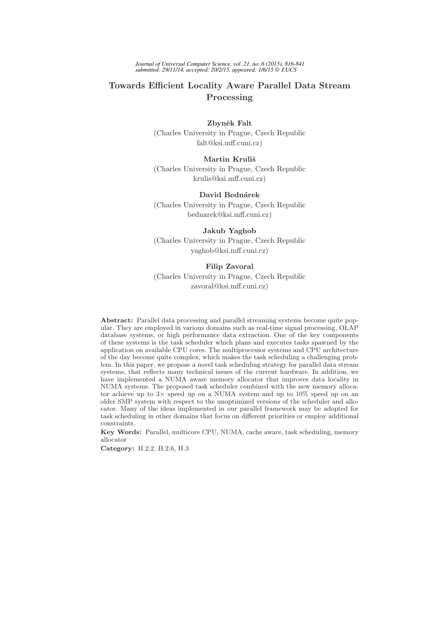# Towards Efficient Locality Aware Parallel Data Stream Processing

Zbyněk Falt (Charles University in Prague, Czech Republic falt@ksi.mff.cuni.cz)

# Martin Kruliš

(Charles University in Prague, Czech Republic krulis@ksi.mff.cuni.cz)

# David Bednárek

(Charles University in Prague, Czech Republic bednarek@ksi.mff.cuni.cz)

## Jakub Yaghob

(Charles University in Prague, Czech Republic yaghob@ksi.mff.cuni.cz)

# Filip Zavoral

(Charles University in Prague, Czech Republic zavoral@ksi.mff.cuni.cz)

Abstract: Parallel data processing and parallel streaming systems become quite popular. They are employed in various domains such as real-time signal processing, OLAP database systems, or high performance data extraction. One of the key components of these systems is the task scheduler which plans and executes tasks spawned by the application on available CPU cores. The multiprocessor systems and CPU architecture of the day become quite complex, which makes the task scheduling a challenging problem. In this paper, we propose a novel task scheduling strategy for parallel data stream systems, that reflects many technical issues of the current hardware. In addition, we have implemented a NUMA aware memory allocator that improves data locality in NUMA systems. The proposed task scheduler combined with the new memory allocator achieve up to  $3\times$  speed up on a NUMA system and up to  $10\%$  speed up on an older SMP system with respect to the unoptimized versions of the scheduler and allocator. Many of the ideas implemented in our parallel framework may be adopted for task scheduling in other domains that focus on different priorities or employ additional constraints.

Key Words: Parallel, multicore CPU, NUMA, cache aware, task scheduling, memory allocator

Category: H.2.2, H.2.6, H.3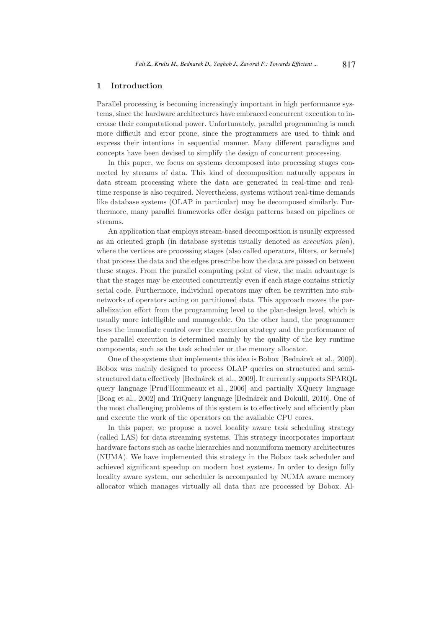# 1 Introduction

Parallel processing is becoming increasingly important in high performance systems, since the hardware architectures have embraced concurrent execution to increase their computational power. Unfortunately, parallel programming is much more difficult and error prone, since the programmers are used to think and express their intentions in sequential manner. Many different paradigms and concepts have been devised to simplify the design of concurrent processing.

In this paper, we focus on systems decomposed into processing stages connected by streams of data. This kind of decomposition naturally appears in data stream processing where the data are generated in real-time and realtime response is also required. Nevertheless, systems without real-time demands like database systems (OLAP in particular) may be decomposed similarly. Furthermore, many parallel frameworks offer design patterns based on pipelines or streams.

An application that employs stream-based decomposition is usually expressed as an oriented graph (in database systems usually denoted as execution plan), where the vertices are processing stages (also called operators, filters, or kernels) that process the data and the edges prescribe how the data are passed on between these stages. From the parallel computing point of view, the main advantage is that the stages may be executed concurrently even if each stage contains strictly serial code. Furthermore, individual operators may often be rewritten into subnetworks of operators acting on partitioned data. This approach moves the parallelization effort from the programming level to the plan-design level, which is usually more intelligible and manageable. On the other hand, the programmer loses the immediate control over the execution strategy and the performance of the parallel execution is determined mainly by the quality of the key runtime components, such as the task scheduler or the memory allocator.

One of the systems that implements this idea is Bobox [Bednárek et al., 2009]. Bobox was mainly designed to process OLAP queries on structured and semistructured data effectively [Bedn´arek et al., 2009]. It currently supports SPARQL query language [Prud'Hommeaux et al., 2006] and partially XQuery language [Boag et al., 2002] and TriQuery language [Bednárek and Dokulil, 2010]. One of the most challenging problems of this system is to effectively and efficiently plan and execute the work of the operators on the available CPU cores.

In this paper, we propose a novel locality aware task scheduling strategy (called LAS) for data streaming systems. This strategy incorporates important hardware factors such as cache hierarchies and nonuniform memory architectures (NUMA). We have implemented this strategy in the Bobox task scheduler and achieved significant speedup on modern host systems. In order to design fully locality aware system, our scheduler is accompanied by NUMA aware memory allocator which manages virtually all data that are processed by Bobox. Al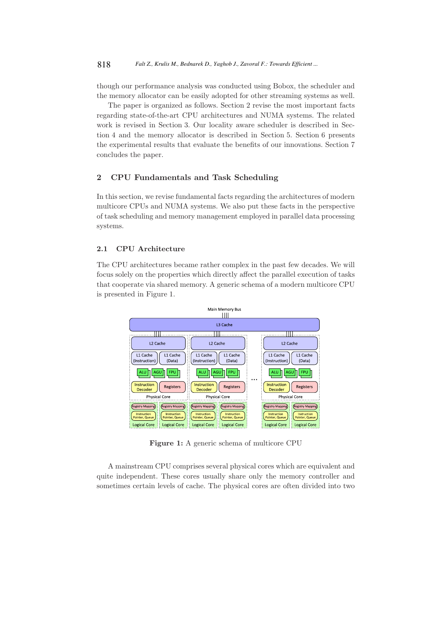though our performance analysis was conducted using Bobox, the scheduler and the memory allocator can be easily adopted for other streaming systems as well.

The paper is organized as follows. Section 2 revise the most important facts regarding state-of-the-art CPU architectures and NUMA systems. The related work is revised in Section 3. Our locality aware scheduler is described in Section 4 and the memory allocator is described in Section 5. Section 6 presents the experimental results that evaluate the benefits of our innovations. Section 7 concludes the paper.

# 2 CPU Fundamentals and Task Scheduling

In this section, we revise fundamental facts regarding the architectures of modern multicore CPUs and NUMA systems. We also put these facts in the perspective of task scheduling and memory management employed in parallel data processing systems.

# 2.1 CPU Architecture

The CPU architectures became rather complex in the past few decades. We will focus solely on the properties which directly affect the parallel execution of tasks that cooperate via shared memory. A generic schema of a modern multicore CPU is presented in Figure 1.



Figure 1: A generic schema of multicore CPU

A mainstream CPU comprises several physical cores which are equivalent and quite independent. These cores usually share only the memory controller and sometimes certain levels of cache. The physical cores are often divided into two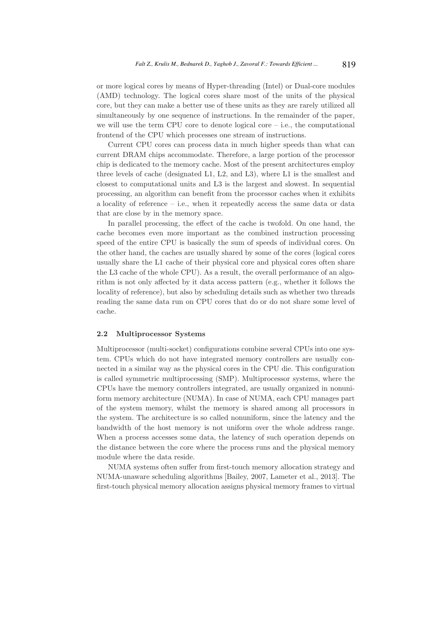or more logical cores by means of Hyper-threading (Intel) or Dual-core modules (AMD) technology. The logical cores share most of the units of the physical core, but they can make a better use of these units as they are rarely utilized all simultaneously by one sequence of instructions. In the remainder of the paper, we will use the term CPU core to denote logical core – i.e., the computational frontend of the CPU which processes one stream of instructions.

Current CPU cores can process data in much higher speeds than what can current DRAM chips accommodate. Therefore, a large portion of the processor chip is dedicated to the memory cache. Most of the present architectures employ three levels of cache (designated L1, L2, and L3), where L1 is the smallest and closest to computational units and L3 is the largest and slowest. In sequential processing, an algorithm can benefit from the processor caches when it exhibits a locality of reference – i.e., when it repeatedly access the same data or data that are close by in the memory space.

In parallel processing, the effect of the cache is twofold. On one hand, the cache becomes even more important as the combined instruction processing speed of the entire CPU is basically the sum of speeds of individual cores. On the other hand, the caches are usually shared by some of the cores (logical cores usually share the L1 cache of their physical core and physical cores often share the L3 cache of the whole CPU). As a result, the overall performance of an algorithm is not only affected by it data access pattern (e.g., whether it follows the locality of reference), but also by scheduling details such as whether two threads reading the same data run on CPU cores that do or do not share some level of cache.

#### 2.2 Multiprocessor Systems

Multiprocessor (multi-socket) configurations combine several CPUs into one system. CPUs which do not have integrated memory controllers are usually connected in a similar way as the physical cores in the CPU die. This configuration is called symmetric multiprocessing (SMP). Multiprocessor systems, where the CPUs have the memory controllers integrated, are usually organized in nonuniform memory architecture (NUMA). In case of NUMA, each CPU manages part of the system memory, whilst the memory is shared among all processors in the system. The architecture is so called nonuniform, since the latency and the bandwidth of the host memory is not uniform over the whole address range. When a process accesses some data, the latency of such operation depends on the distance between the core where the process runs and the physical memory module where the data reside.

NUMA systems often suffer from first-touch memory allocation strategy and NUMA-unaware scheduling algorithms [Bailey, 2007, Lameter et al., 2013]. The first-touch physical memory allocation assigns physical memory frames to virtual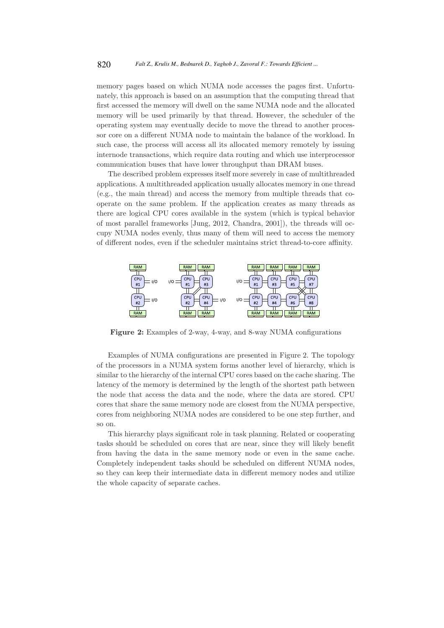memory pages based on which NUMA node accesses the pages first. Unfortunately, this approach is based on an assumption that the computing thread that first accessed the memory will dwell on the same NUMA node and the allocated memory will be used primarily by that thread. However, the scheduler of the operating system may eventually decide to move the thread to another processor core on a different NUMA node to maintain the balance of the workload. In such case, the process will access all its allocated memory remotely by issuing internode transactions, which require data routing and which use interprocessor communication buses that have lower throughput than DRAM buses.

The described problem expresses itself more severely in case of multithreaded applications. A multithreaded application usually allocates memory in one thread (e.g., the main thread) and access the memory from multiple threads that cooperate on the same problem. If the application creates as many threads as there are logical CPU cores available in the system (which is typical behavior of most parallel frameworks [Jung, 2012, Chandra, 2001]), the threads will occupy NUMA nodes evenly, thus many of them will need to access the memory of different nodes, even if the scheduler maintains strict thread-to-core affinity.



Figure 2: Examples of 2-way, 4-way, and 8-way NUMA configurations

Examples of NUMA configurations are presented in Figure 2. The topology of the processors in a NUMA system forms another level of hierarchy, which is similar to the hierarchy of the internal CPU cores based on the cache sharing. The latency of the memory is determined by the length of the shortest path between the node that access the data and the node, where the data are stored. CPU cores that share the same memory node are closest from the NUMA perspective, cores from neighboring NUMA nodes are considered to be one step further, and so on.

This hierarchy plays significant role in task planning. Related or cooperating tasks should be scheduled on cores that are near, since they will likely benefit from having the data in the same memory node or even in the same cache. Completely independent tasks should be scheduled on different NUMA nodes, so they can keep their intermediate data in different memory nodes and utilize the whole capacity of separate caches.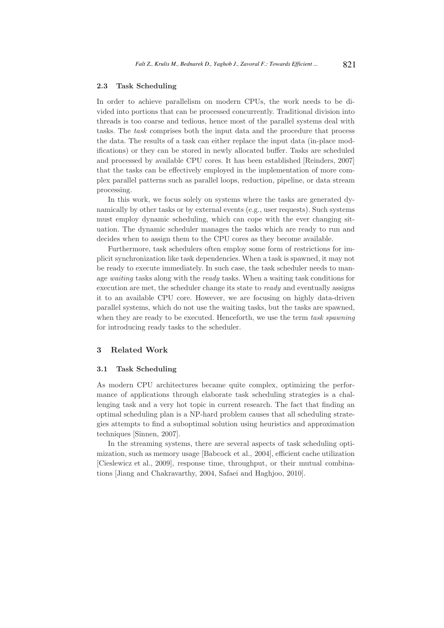#### 2.3 Task Scheduling

In order to achieve parallelism on modern CPUs, the work needs to be divided into portions that can be processed concurrently. Traditional division into threads is too coarse and tedious, hence most of the parallel systems deal with tasks. The task comprises both the input data and the procedure that process the data. The results of a task can either replace the input data (in-place modifications) or they can be stored in newly allocated buffer. Tasks are scheduled and processed by available CPU cores. It has been established [Reinders, 2007] that the tasks can be effectively employed in the implementation of more complex parallel patterns such as parallel loops, reduction, pipeline, or data stream processing.

In this work, we focus solely on systems where the tasks are generated dynamically by other tasks or by external events (e.g., user requests). Such systems must employ dynamic scheduling, which can cope with the ever changing situation. The dynamic scheduler manages the tasks which are ready to run and decides when to assign them to the CPU cores as they become available.

Furthermore, task schedulers often employ some form of restrictions for implicit synchronization like task dependencies. When a task is spawned, it may not be ready to execute immediately. In such case, the task scheduler needs to manage waiting tasks along with the ready tasks. When a waiting task conditions for execution are met, the scheduler change its state to ready and eventually assigns it to an available CPU core. However, we are focusing on highly data-driven parallel systems, which do not use the waiting tasks, but the tasks are spawned, when they are ready to be executed. Henceforth, we use the term task spawning for introducing ready tasks to the scheduler.

# 3 Related Work

#### 3.1 Task Scheduling

As modern CPU architectures became quite complex, optimizing the performance of applications through elaborate task scheduling strategies is a challenging task and a very hot topic in current research. The fact that finding an optimal scheduling plan is a NP-hard problem causes that all scheduling strategies attempts to find a suboptimal solution using heuristics and approximation techniques [Sinnen, 2007].

In the streaming systems, there are several aspects of task scheduling optimization, such as memory usage [Babcock et al., 2004], efficient cache utilization [Cieslewicz et al., 2009], response time, throughput, or their mutual combinations [Jiang and Chakravarthy, 2004, Safaei and Haghjoo, 2010].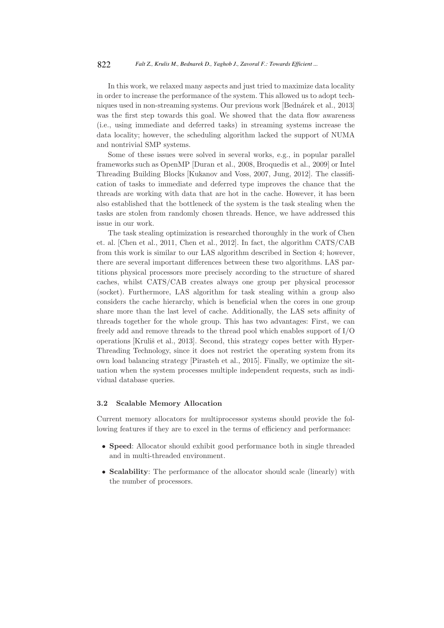In this work, we relaxed many aspects and just tried to maximize data locality in order to increase the performance of the system. This allowed us to adopt techniques used in non-streaming systems. Our previous work [Bednárek et al., 2013] was the first step towards this goal. We showed that the data flow awareness (i.e., using immediate and deferred tasks) in streaming systems increase the data locality; however, the scheduling algorithm lacked the support of NUMA and nontrivial SMP systems.

Some of these issues were solved in several works, e.g., in popular parallel frameworks such as OpenMP [Duran et al., 2008, Broquedis et al., 2009] or Intel Threading Building Blocks [Kukanov and Voss, 2007, Jung, 2012]. The classification of tasks to immediate and deferred type improves the chance that the threads are working with data that are hot in the cache. However, it has been also established that the bottleneck of the system is the task stealing when the tasks are stolen from randomly chosen threads. Hence, we have addressed this issue in our work.

The task stealing optimization is researched thoroughly in the work of Chen et. al. [Chen et al., 2011, Chen et al., 2012]. In fact, the algorithm CATS/CAB from this work is similar to our LAS algorithm described in Section 4; however, there are several important differences between these two algorithms. LAS partitions physical processors more precisely according to the structure of shared caches, whilst CATS/CAB creates always one group per physical processor (socket). Furthermore, LAS algorithm for task stealing within a group also considers the cache hierarchy, which is beneficial when the cores in one group share more than the last level of cache. Additionally, the LAS sets affinity of threads together for the whole group. This has two advantages: First, we can freely add and remove threads to the thread pool which enables support of I/O operations [Kruliš et al., 2013]. Second, this strategy copes better with Hyper-Threading Technology, since it does not restrict the operating system from its own load balancing strategy [Pirasteh et al., 2015]. Finally, we optimize the situation when the system processes multiple independent requests, such as individual database queries.

#### 3.2 Scalable Memory Allocation

Current memory allocators for multiprocessor systems should provide the following features if they are to excel in the terms of efficiency and performance:

- Speed: Allocator should exhibit good performance both in single threaded and in multi-threaded environment.
- Scalability: The performance of the allocator should scale (linearly) with the number of processors.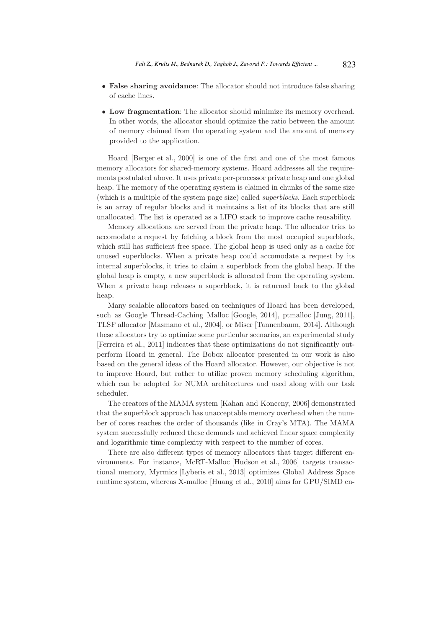- False sharing avoidance: The allocator should not introduce false sharing of cache lines.
- Low fragmentation: The allocator should minimize its memory overhead. In other words, the allocator should optimize the ratio between the amount of memory claimed from the operating system and the amount of memory provided to the application.

Hoard [Berger et al., 2000] is one of the first and one of the most famous memory allocators for shared-memory systems. Hoard addresses all the requirements postulated above. It uses private per-processor private heap and one global heap. The memory of the operating system is claimed in chunks of the same size (which is a multiple of the system page size) called superblocks. Each superblock is an array of regular blocks and it maintains a list of its blocks that are still unallocated. The list is operated as a LIFO stack to improve cache reusability.

Memory allocations are served from the private heap. The allocator tries to accomodate a request by fetching a block from the most occupied superblock, which still has sufficient free space. The global heap is used only as a cache for unused superblocks. When a private heap could accomodate a request by its internal superblocks, it tries to claim a superblock from the global heap. If the global heap is empty, a new superblock is allocated from the operating system. When a private heap releases a superblock, it is returned back to the global heap.

Many scalable allocators based on techniques of Hoard has been developed, such as Google Thread-Caching Malloc [Google, 2014], ptmalloc [Jung, 2011], TLSF allocator [Masmano et al., 2004], or Miser [Tannenbaum, 2014]. Although these allocators try to optimize some particular scenarios, an experimental study [Ferreira et al., 2011] indicates that these optimizations do not significantly outperform Hoard in general. The Bobox allocator presented in our work is also based on the general ideas of the Hoard allocator. However, our objective is not to improve Hoard, but rather to utilize proven memory scheduling algorithm, which can be adopted for NUMA architectures and used along with our task scheduler.

The creators of the MAMA system [Kahan and Konecny, 2006] demonstrated that the superblock approach has unacceptable memory overhead when the number of cores reaches the order of thousands (like in Cray's MTA). The MAMA system successfully reduced these demands and achieved linear space complexity and logarithmic time complexity with respect to the number of cores.

There are also different types of memory allocators that target different environments. For instance, McRT-Malloc [Hudson et al., 2006] targets transactional memory, Myrmics [Lyberis et al., 2013] optimizes Global Address Space runtime system, whereas X-malloc [Huang et al., 2010] aims for GPU/SIMD en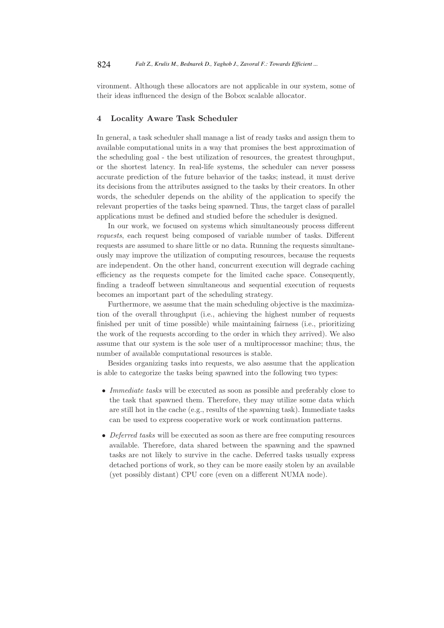vironment. Although these allocators are not applicable in our system, some of their ideas influenced the design of the Bobox scalable allocator.

# 4 Locality Aware Task Scheduler

In general, a task scheduler shall manage a list of ready tasks and assign them to available computational units in a way that promises the best approximation of the scheduling goal - the best utilization of resources, the greatest throughput, or the shortest latency. In real-life systems, the scheduler can never possess accurate prediction of the future behavior of the tasks; instead, it must derive its decisions from the attributes assigned to the tasks by their creators. In other words, the scheduler depends on the ability of the application to specify the relevant properties of the tasks being spawned. Thus, the target class of parallel applications must be defined and studied before the scheduler is designed.

In our work, we focused on systems which simultaneously process different requests, each request being composed of variable number of tasks. Different requests are assumed to share little or no data. Running the requests simultaneously may improve the utilization of computing resources, because the requests are independent. On the other hand, concurrent execution will degrade caching efficiency as the requests compete for the limited cache space. Consequently, finding a tradeoff between simultaneous and sequential execution of requests becomes an important part of the scheduling strategy.

Furthermore, we assume that the main scheduling objective is the maximization of the overall throughput (i.e., achieving the highest number of requests finished per unit of time possible) while maintaining fairness (i.e., prioritizing the work of the requests according to the order in which they arrived). We also assume that our system is the sole user of a multiprocessor machine; thus, the number of available computational resources is stable.

Besides organizing tasks into requests, we also assume that the application is able to categorize the tasks being spawned into the following two types:

- Immediate tasks will be executed as soon as possible and preferably close to the task that spawned them. Therefore, they may utilize some data which are still hot in the cache (e.g., results of the spawning task). Immediate tasks can be used to express cooperative work or work continuation patterns.
- Deferred tasks will be executed as soon as there are free computing resources available. Therefore, data shared between the spawning and the spawned tasks are not likely to survive in the cache. Deferred tasks usually express detached portions of work, so they can be more easily stolen by an available (yet possibly distant) CPU core (even on a different NUMA node).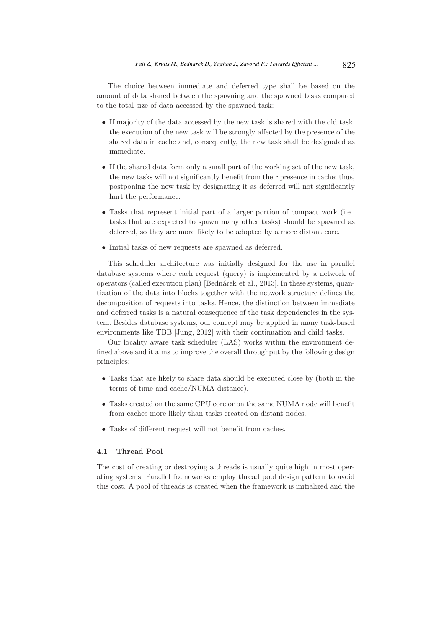The choice between immediate and deferred type shall be based on the amount of data shared between the spawning and the spawned tasks compared to the total size of data accessed by the spawned task:

- If majority of the data accessed by the new task is shared with the old task, the execution of the new task will be strongly affected by the presence of the shared data in cache and, consequently, the new task shall be designated as immediate.
- If the shared data form only a small part of the working set of the new task, the new tasks will not significantly benefit from their presence in cache; thus, postponing the new task by designating it as deferred will not significantly hurt the performance.
- Tasks that represent initial part of a larger portion of compact work (i.e., tasks that are expected to spawn many other tasks) should be spawned as deferred, so they are more likely to be adopted by a more distant core.
- Initial tasks of new requests are spawned as deferred.

This scheduler architecture was initially designed for the use in parallel database systems where each request (query) is implemented by a network of operators (called execution plan) [Bedn´arek et al., 2013]. In these systems, quantization of the data into blocks together with the network structure defines the decomposition of requests into tasks. Hence, the distinction between immediate and deferred tasks is a natural consequence of the task dependencies in the system. Besides database systems, our concept may be applied in many task-based environments like TBB [Jung, 2012] with their continuation and child tasks.

Our locality aware task scheduler (LAS) works within the environment defined above and it aims to improve the overall throughput by the following design principles:

- Tasks that are likely to share data should be executed close by (both in the terms of time and cache/NUMA distance).
- Tasks created on the same CPU core or on the same NUMA node will benefit from caches more likely than tasks created on distant nodes.
- Tasks of different request will not benefit from caches.

# 4.1 Thread Pool

The cost of creating or destroying a threads is usually quite high in most operating systems. Parallel frameworks employ thread pool design pattern to avoid this cost. A pool of threads is created when the framework is initialized and the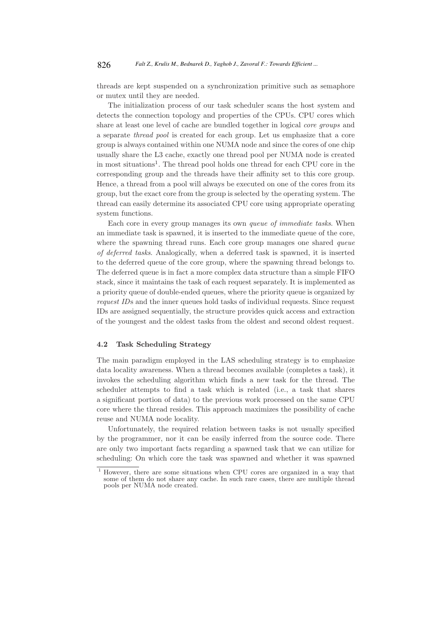threads are kept suspended on a synchronization primitive such as semaphore or mutex until they are needed.

The initialization process of our task scheduler scans the host system and detects the connection topology and properties of the CPUs. CPU cores which share at least one level of cache are bundled together in logical core groups and a separate thread pool is created for each group. Let us emphasize that a core group is always contained within one NUMA node and since the cores of one chip usually share the L3 cache, exactly one thread pool per NUMA node is created in most situations<sup>1</sup>. The thread pool holds one thread for each CPU core in the corresponding group and the threads have their affinity set to this core group. Hence, a thread from a pool will always be executed on one of the cores from its group, but the exact core from the group is selected by the operating system. The thread can easily determine its associated CPU core using appropriate operating system functions.

Each core in every group manages its own queue of immediate tasks. When an immediate task is spawned, it is inserted to the immediate queue of the core, where the spawning thread runs. Each core group manages one shared queue of deferred tasks. Analogically, when a deferred task is spawned, it is inserted to the deferred queue of the core group, where the spawning thread belongs to. The deferred queue is in fact a more complex data structure than a simple FIFO stack, since it maintains the task of each request separately. It is implemented as a priority queue of double-ended queues, where the priority queue is organized by request IDs and the inner queues hold tasks of individual requests. Since request IDs are assigned sequentially, the structure provides quick access and extraction of the youngest and the oldest tasks from the oldest and second oldest request.

# 4.2 Task Scheduling Strategy

The main paradigm employed in the LAS scheduling strategy is to emphasize data locality awareness. When a thread becomes available (completes a task), it invokes the scheduling algorithm which finds a new task for the thread. The scheduler attempts to find a task which is related (i.e., a task that shares a significant portion of data) to the previous work processed on the same CPU core where the thread resides. This approach maximizes the possibility of cache reuse and NUMA node locality.

Unfortunately, the required relation between tasks is not usually specified by the programmer, nor it can be easily inferred from the source code. There are only two important facts regarding a spawned task that we can utilize for scheduling: On which core the task was spawned and whether it was spawned

<sup>1</sup> However, there are some situations when CPU cores are organized in a way that some of them do not share any cache. In such rare cases, there are multiple thread pools per NUMA node created.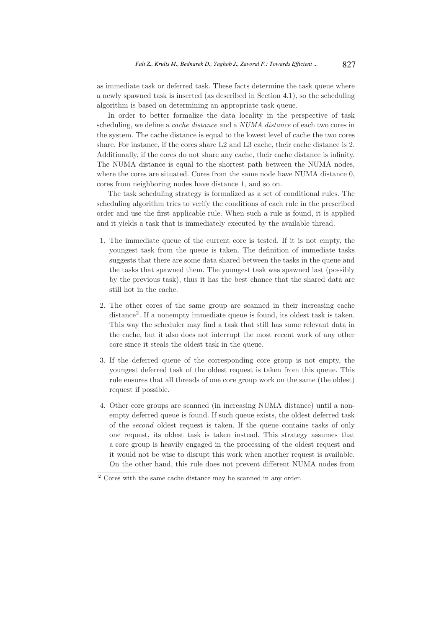as immediate task or deferred task. These facts determine the task queue where a newly spawned task is inserted (as described in Section 4.1), so the scheduling algorithm is based on determining an appropriate task queue.

In order to better formalize the data locality in the perspective of task scheduling, we define a *cache distance* and a *NUMA distance* of each two cores in the system. The cache distance is equal to the lowest level of cache the two cores share. For instance, if the cores share L2 and L3 cache, their cache distance is 2. Additionally, if the cores do not share any cache, their cache distance is infinity. The NUMA distance is equal to the shortest path between the NUMA nodes, where the cores are situated. Cores from the same node have NUMA distance 0, cores from neighboring nodes have distance 1, and so on.

The task scheduling strategy is formalized as a set of conditional rules. The scheduling algorithm tries to verify the conditions of each rule in the prescribed order and use the first applicable rule. When such a rule is found, it is applied and it yields a task that is immediately executed by the available thread.

- 1. The immediate queue of the current core is tested. If it is not empty, the youngest task from the queue is taken. The definition of immediate tasks suggests that there are some data shared between the tasks in the queue and the tasks that spawned them. The youngest task was spawned last (possibly by the previous task), thus it has the best chance that the shared data are still hot in the cache.
- 2. The other cores of the same group are scanned in their increasing cache distance<sup>2</sup>. If a nonempty immediate queue is found, its oldest task is taken. This way the scheduler may find a task that still has some relevant data in the cache, but it also does not interrupt the most recent work of any other core since it steals the oldest task in the queue.
- 3. If the deferred queue of the corresponding core group is not empty, the youngest deferred task of the oldest request is taken from this queue. This rule ensures that all threads of one core group work on the same (the oldest) request if possible.
- 4. Other core groups are scanned (in increasing NUMA distance) until a nonempty deferred queue is found. If such queue exists, the oldest deferred task of the second oldest request is taken. If the queue contains tasks of only one request, its oldest task is taken instead. This strategy assumes that a core group is heavily engaged in the processing of the oldest request and it would not be wise to disrupt this work when another request is available. On the other hand, this rule does not prevent different NUMA nodes from

 $\frac{2}{2}$  Cores with the same cache distance may be scanned in any order.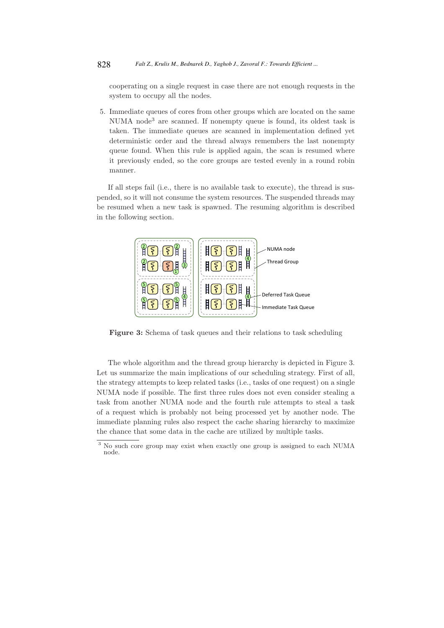cooperating on a single request in case there are not enough requests in the system to occupy all the nodes.

5. Immediate queues of cores from other groups which are located on the same  $NUMA node<sup>3</sup>$  are scanned. If nonempty queue is found, its oldest task is taken. The immediate queues are scanned in implementation defined yet deterministic order and the thread always remembers the last nonempty queue found. When this rule is applied again, the scan is resumed where it previously ended, so the core groups are tested evenly in a round robin manner.

If all steps fail (i.e., there is no available task to execute), the thread is suspended, so it will not consume the system resources. The suspended threads may be resumed when a new task is spawned. The resuming algorithm is described in the following section.



Figure 3: Schema of task queues and their relations to task scheduling

The whole algorithm and the thread group hierarchy is depicted in Figure 3. Let us summarize the main implications of our scheduling strategy. First of all, the strategy attempts to keep related tasks (i.e., tasks of one request) on a single NUMA node if possible. The first three rules does not even consider stealing a task from another NUMA node and the fourth rule attempts to steal a task of a request which is probably not being processed yet by another node. The immediate planning rules also respect the cache sharing hierarchy to maximize the chance that some data in the cache are utilized by multiple tasks.

<sup>3</sup> No such core group may exist when exactly one group is assigned to each NUMA node.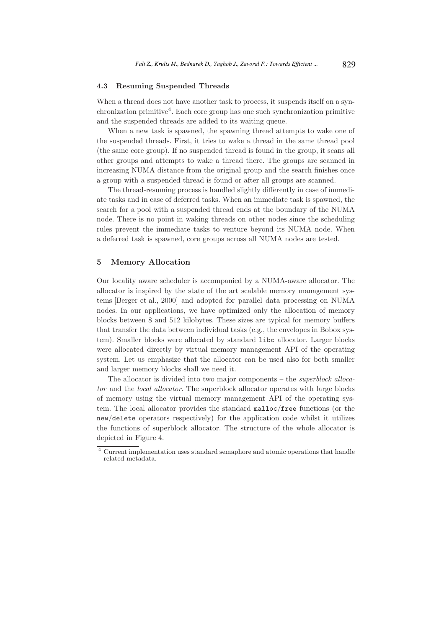#### 4.3 Resuming Suspended Threads

When a thread does not have another task to process, it suspends itself on a synchronization primitive<sup>4</sup>. Each core group has one such synchronization primitive and the suspended threads are added to its waiting queue.

When a new task is spawned, the spawning thread attempts to wake one of the suspended threads. First, it tries to wake a thread in the same thread pool (the same core group). If no suspended thread is found in the group, it scans all other groups and attempts to wake a thread there. The groups are scanned in increasing NUMA distance from the original group and the search finishes once a group with a suspended thread is found or after all groups are scanned.

The thread-resuming process is handled slightly differently in case of immediate tasks and in case of deferred tasks. When an immediate task is spawned, the search for a pool with a suspended thread ends at the boundary of the NUMA node. There is no point in waking threads on other nodes since the scheduling rules prevent the immediate tasks to venture beyond its NUMA node. When a deferred task is spawned, core groups across all NUMA nodes are tested.

## 5 Memory Allocation

Our locality aware scheduler is accompanied by a NUMA-aware allocator. The allocator is inspired by the state of the art scalable memory management systems [Berger et al., 2000] and adopted for parallel data processing on NUMA nodes. In our applications, we have optimized only the allocation of memory blocks between 8 and 512 kilobytes. These sizes are typical for memory buffers that transfer the data between individual tasks (e.g., the envelopes in Bobox system). Smaller blocks were allocated by standard libc allocator. Larger blocks were allocated directly by virtual memory management API of the operating system. Let us emphasize that the allocator can be used also for both smaller and larger memory blocks shall we need it.

The allocator is divided into two major components – the superblock allocator and the local allocator. The superblock allocator operates with large blocks of memory using the virtual memory management API of the operating system. The local allocator provides the standard malloc/free functions (or the new/delete operators respectively) for the application code whilst it utilizes the functions of superblock allocator. The structure of the whole allocator is depicted in Figure 4.

<sup>4</sup> Current implementation uses standard semaphore and atomic operations that handle related metadata.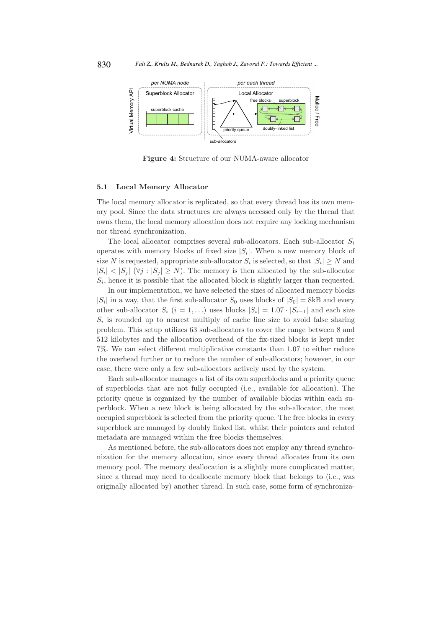

Figure 4: Structure of our NUMA-aware allocator

#### 5.1 Local Memory Allocator

The local memory allocator is replicated, so that every thread has its own memory pool. Since the data structures are always accessed only by the thread that owns them, the local memory allocation does not require any locking mechanism nor thread synchronization.

The local allocator comprises several sub-allocators. Each sub-allocator  $S_i$ operates with memory blocks of fixed size  $|S_i|$ . When a new memory block of size N is requested, appropriate sub-allocator  $S_i$  is selected, so that  $|S_i| \geq N$  and  $|S_i| < |S_j|$  ( $\forall j : |S_j| \geq N$ ). The memory is then allocated by the sub-allocator  $S_i$ , hence it is possible that the allocated block is slightly larger than requested.

In our implementation, we have selected the sizes of allocated memory blocks  $|S_i|$  in a way, that the first sub-allocator  $S_0$  uses blocks of  $|S_0| = 8kB$  and every other sub-allocator  $S_i$   $(i = 1, ...)$  uses blocks  $|S_i| = 1.07 \cdot |S_{i-1}|$  and each size  $S_i$  is rounded up to nearest multiply of cache line size to avoid false sharing problem. This setup utilizes 63 sub-allocators to cover the range between 8 and 512 kilobytes and the allocation overhead of the fix-sized blocks is kept under 7%. We can select different multiplicative constants than 1.07 to either reduce the overhead further or to reduce the number of sub-allocators; however, in our case, there were only a few sub-allocators actively used by the system.

Each sub-allocator manages a list of its own superblocks and a priority queue of superblocks that are not fully occupied (i.e., available for allocation). The priority queue is organized by the number of available blocks within each superblock. When a new block is being allocated by the sub-allocator, the most occupied superblock is selected from the priority queue. The free blocks in every superblock are managed by doubly linked list, whilst their pointers and related metadata are managed within the free blocks themselves.

As mentioned before, the sub-allocators does not employ any thread synchronization for the memory allocation, since every thread allocates from its own memory pool. The memory deallocation is a slightly more complicated matter, since a thread may need to deallocate memory block that belongs to (i.e., was originally allocated by) another thread. In such case, some form of synchroniza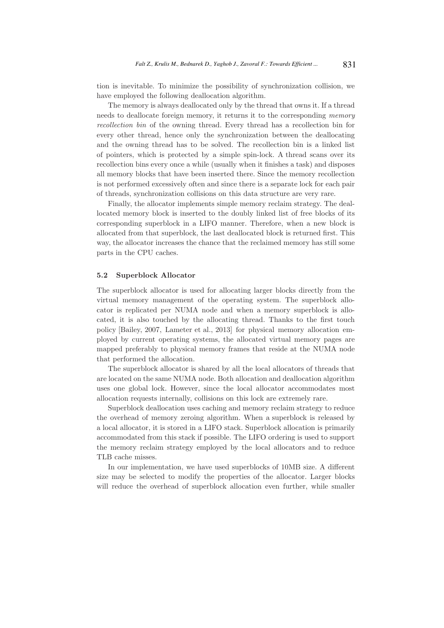tion is inevitable. To minimize the possibility of synchronization collision, we have employed the following deallocation algorithm.

The memory is always deallocated only by the thread that owns it. If a thread needs to deallocate foreign memory, it returns it to the corresponding memory recollection bin of the owning thread. Every thread has a recollection bin for every other thread, hence only the synchronization between the deallocating and the owning thread has to be solved. The recollection bin is a linked list of pointers, which is protected by a simple spin-lock. A thread scans over its recollection bins every once a while (usually when it finishes a task) and disposes all memory blocks that have been inserted there. Since the memory recollection is not performed excessively often and since there is a separate lock for each pair of threads, synchronization collisions on this data structure are very rare.

Finally, the allocator implements simple memory reclaim strategy. The deallocated memory block is inserted to the doubly linked list of free blocks of its corresponding superblock in a LIFO manner. Therefore, when a new block is allocated from that superblock, the last deallocated block is returned first. This way, the allocator increases the chance that the reclaimed memory has still some parts in the CPU caches.

#### 5.2 Superblock Allocator

The superblock allocator is used for allocating larger blocks directly from the virtual memory management of the operating system. The superblock allocator is replicated per NUMA node and when a memory superblock is allocated, it is also touched by the allocating thread. Thanks to the first touch policy [Bailey, 2007, Lameter et al., 2013] for physical memory allocation employed by current operating systems, the allocated virtual memory pages are mapped preferably to physical memory frames that reside at the NUMA node that performed the allocation.

The superblock allocator is shared by all the local allocators of threads that are located on the same NUMA node. Both allocation and deallocation algorithm uses one global lock. However, since the local allocator accommodates most allocation requests internally, collisions on this lock are extremely rare.

Superblock deallocation uses caching and memory reclaim strategy to reduce the overhead of memory zeroing algorithm. When a superblock is released by a local allocator, it is stored in a LIFO stack. Superblock allocation is primarily accommodated from this stack if possible. The LIFO ordering is used to support the memory reclaim strategy employed by the local allocators and to reduce TLB cache misses.

In our implementation, we have used superblocks of 10MB size. A different size may be selected to modify the properties of the allocator. Larger blocks will reduce the overhead of superblock allocation even further, while smaller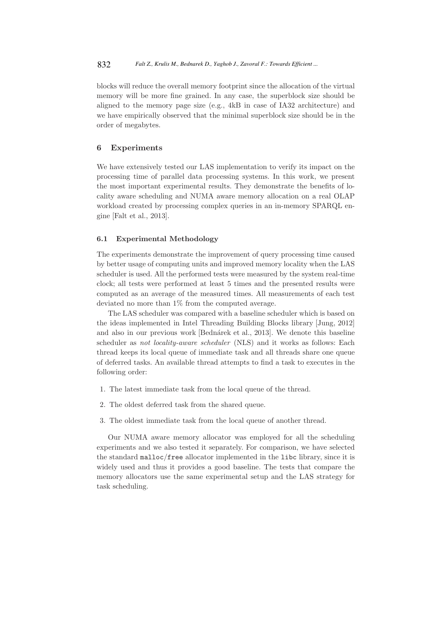blocks will reduce the overall memory footprint since the allocation of the virtual memory will be more fine grained. In any case, the superblock size should be aligned to the memory page size (e.g., 4kB in case of IA32 architecture) and we have empirically observed that the minimal superblock size should be in the order of megabytes.

# 6 Experiments

We have extensively tested our LAS implementation to verify its impact on the processing time of parallel data processing systems. In this work, we present the most important experimental results. They demonstrate the benefits of locality aware scheduling and NUMA aware memory allocation on a real OLAP workload created by processing complex queries in an in-memory SPARQL engine [Falt et al., 2013].

# 6.1 Experimental Methodology

The experiments demonstrate the improvement of query processing time caused by better usage of computing units and improved memory locality when the LAS scheduler is used. All the performed tests were measured by the system real-time clock; all tests were performed at least 5 times and the presented results were computed as an average of the measured times. All measurements of each test deviated no more than 1% from the computed average.

The LAS scheduler was compared with a baseline scheduler which is based on the ideas implemented in Intel Threading Building Blocks library [Jung, 2012] and also in our previous work [Bednárek et al., 2013]. We denote this baseline scheduler as not locality-aware scheduler (NLS) and it works as follows: Each thread keeps its local queue of immediate task and all threads share one queue of deferred tasks. An available thread attempts to find a task to executes in the following order:

- 1. The latest immediate task from the local queue of the thread.
- 2. The oldest deferred task from the shared queue.
- 3. The oldest immediate task from the local queue of another thread.

Our NUMA aware memory allocator was employed for all the scheduling experiments and we also tested it separately. For comparison, we have selected the standard malloc/free allocator implemented in the libc library, since it is widely used and thus it provides a good baseline. The tests that compare the memory allocators use the same experimental setup and the LAS strategy for task scheduling.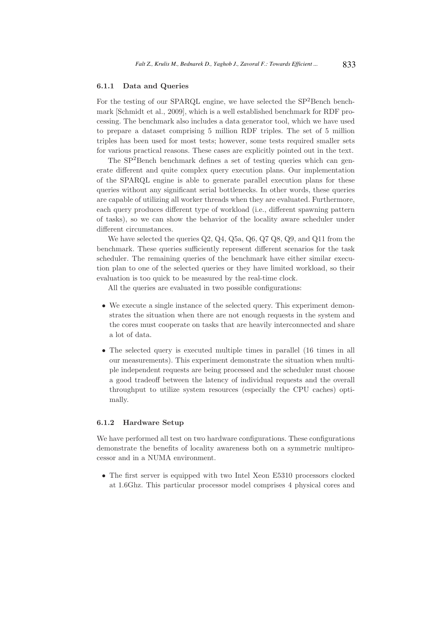#### 6.1.1 Data and Queries

For the testing of our SPARQL engine, we have selected the SP2Bench benchmark [Schmidt et al., 2009], which is a well established benchmark for RDF processing. The benchmark also includes a data generator tool, which we have used to prepare a dataset comprising 5 million RDF triples. The set of 5 million triples has been used for most tests; however, some tests required smaller sets for various practical reasons. These cases are explicitly pointed out in the text.

The SP2Bench benchmark defines a set of testing queries which can generate different and quite complex query execution plans. Our implementation of the SPARQL engine is able to generate parallel execution plans for these queries without any significant serial bottlenecks. In other words, these queries are capable of utilizing all worker threads when they are evaluated. Furthermore, each query produces different type of workload (i.e., different spawning pattern of tasks), so we can show the behavior of the locality aware scheduler under different circumstances.

We have selected the queries Q2, Q4, Q5a, Q6, Q7 Q8, Q9, and Q11 from the benchmark. These queries sufficiently represent different scenarios for the task scheduler. The remaining queries of the benchmark have either similar execution plan to one of the selected queries or they have limited workload, so their evaluation is too quick to be measured by the real-time clock.

All the queries are evaluated in two possible configurations:

- We execute a single instance of the selected query. This experiment demonstrates the situation when there are not enough requests in the system and the cores must cooperate on tasks that are heavily interconnected and share a lot of data.
- The selected query is executed multiple times in parallel (16 times in all our measurements). This experiment demonstrate the situation when multiple independent requests are being processed and the scheduler must choose a good tradeoff between the latency of individual requests and the overall throughput to utilize system resources (especially the CPU caches) optimally.

# 6.1.2 Hardware Setup

We have performed all test on two hardware configurations. These configurations demonstrate the benefits of locality awareness both on a symmetric multiprocessor and in a NUMA environment.

• The first server is equipped with two Intel Xeon E5310 processors clocked at 1.6Ghz. This particular processor model comprises 4 physical cores and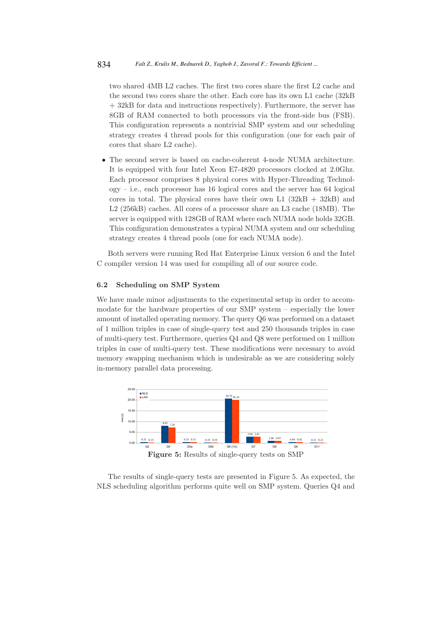two shared 4MB L2 caches. The first two cores share the first L2 cache and the second two cores share the other. Each core has its own L1 cache (32kB + 32kB for data and instructions respectively). Furthermore, the server has 8GB of RAM connected to both processors via the front-side bus (FSB). This configuration represents a nontrivial SMP system and our scheduling strategy creates 4 thread pools for this configuration (one for each pair of cores that share L2 cache).

• The second server is based on cache-coherent 4-node NUMA architecture. It is equipped with four Intel Xeon E7-4820 processors clocked at 2.0Ghz. Each processor comprises 8 physical cores with Hyper-Threading Technology – i.e., each processor has 16 logical cores and the server has 64 logical cores in total. The physical cores have their own L1  $(32kB + 32kB)$  and L2 (256kB) caches. All cores of a processor share an L3 cache (18MB). The server is equipped with 128GB of RAM where each NUMA node holds 32GB. This configuration demonstrates a typical NUMA system and our scheduling strategy creates 4 thread pools (one for each NUMA node).

Both servers were running Red Hat Enterprise Linux version 6 and the Intel C compiler version 14 was used for compiling all of our source code.

# 6.2 Scheduling on SMP System

We have made minor adjustments to the experimental setup in order to accommodate for the hardware properties of our SMP system – especially the lower amount of installed operating memory. The query Q6 was performed on a dataset of 1 million triples in case of single-query test and 250 thousands triples in case of multi-query test. Furthermore, queries Q4 and Q8 were performed on 1 million triples in case of multi-query test. These modifications were necessary to avoid memory swapping mechanism which is undesirable as we are considering solely in-memory parallel data processing.



The results of single-query tests are presented in Figure 5. As expected, the NLS scheduling algorithm performs quite well on SMP system. Queries Q4 and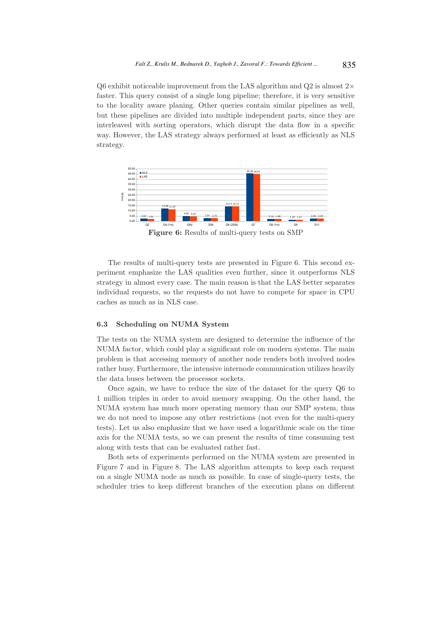Q6 exhibit noticeable improvement from the LAS algorithm and Q2 is almost  $2\times$ faster. This query consist of a single long pipeline; therefore, it is very sensitive to the locality aware planing. Other queries contain similar pipelines as well, but these pipelines are divided into multiple independent parts, since they are interleaved with sorting operators, which disrupt the data flow in a specific way. However, the LAS strategy always performed at least as efficiently as NLS strategy.



The results of multi-query tests are presented in Figure 6. This second experiment emphasize the LAS qualities even further, since it outperforms NLS strategy in almost every case. The main reason is that the LAS better separates individual requests, so the requests do not have to compete for space in CPU caches as much as in NLS case.

#### 6.3 Scheduling on NUMA System

The tests on the NUMA system are designed to determine the influence of the NUMA factor, which could play a significant role on modern systems. The main problem is that accessing memory of another node renders both involved nodes rather busy. Furthermore, the intensive internode communication utilizes heavily the data buses between the processor sockets.

Once again, we have to reduce the size of the dataset for the query Q6 to 1 million triples in order to avoid memory swapping. On the other hand, the NUMA system has much more operating memory than our SMP system, thus we do not need to impose any other restrictions (not even for the multi-query tests). Let us also emphasize that we have used a logarithmic scale on the time axis for the NUMA tests, so we can present the results of time consuming test along with tests that can be evaluated rather fast.

Both sets of experiments performed on the NUMA system are presented in Figure 7 and in Figure 8. The LAS algorithm attempts to keep each request on a single NUMA node as much as possible. In case of single-query tests, the scheduler tries to keep different branches of the execution plans on different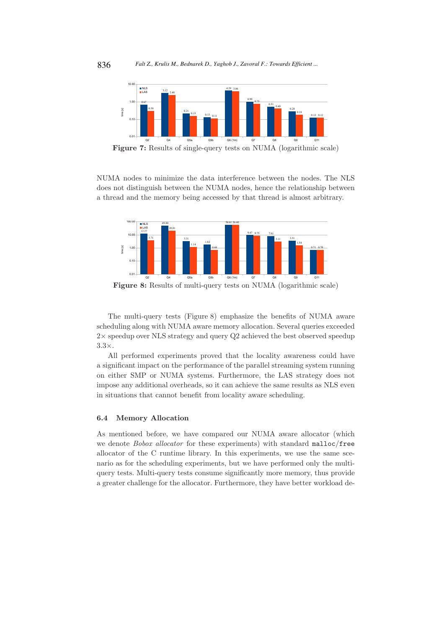

Figure 7: Results of single-query tests on NUMA (logarithmic scale)

NUMA nodes to minimize the data interference between the nodes. The NLS does not distinguish between the NUMA nodes, hence the relationship between a thread and the memory being accessed by that thread is almost arbitrary.



Figure 8: Results of multi-query tests on NUMA (logarithmic scale)

The multi-query tests (Figure 8) emphasize the benefits of NUMA aware scheduling along with NUMA aware memory allocation. Several queries exceeded  $2\times$  speedup over NLS strategy and query Q2 achieved the best observed speedup 3.3×.

All performed experiments proved that the locality awareness could have a significant impact on the performance of the parallel streaming system running on either SMP or NUMA systems. Furthermore, the LAS strategy does not impose any additional overheads, so it can achieve the same results as NLS even in situations that cannot benefit from locality aware scheduling.

# 6.4 Memory Allocation

As mentioned before, we have compared our NUMA aware allocator (which we denote Bobox allocator for these experiments) with standard malloc/free allocator of the C runtime library. In this experiments, we use the same scenario as for the scheduling experiments, but we have performed only the multiquery tests. Multi-query tests consume significantly more memory, thus provide a greater challenge for the allocator. Furthermore, they have better workload de-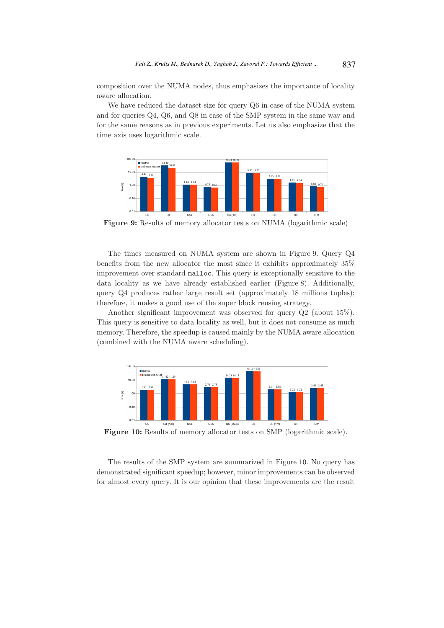composition over the NUMA nodes, thus emphasizes the importance of locality aware allocation.

We have reduced the dataset size for query Q6 in case of the NUMA system and for queries Q4, Q6, and Q8 in case of the SMP system in the same way and for the same reasons as in previous experiments. Let us also emphasize that the time axis uses logarithmic scale.



Figure 9: Results of memory allocator tests on NUMA (logarithmic scale)

The times measured on NUMA system are shown in Figure 9. Query Q4 benefits from the new allocator the most since it exhibits approximately 35% improvement over standard malloc. This query is exceptionally sensitive to the data locality as we have already established earlier (Figure 8). Additionally, query Q4 produces rather large result set (approximately 18 millions tuples); therefore, it makes a good use of the super block reusing strategy.

Another significant improvement was observed for query Q2 (about 15%). This query is sensitive to data locality as well, but it does not consume as much memory. Therefore, the speedup is caused mainly by the NUMA aware allocation (combined with the NUMA aware scheduling).



Figure 10: Results of memory allocator tests on SMP (logarithmic scale).

The results of the SMP system are summarized in Figure 10. No query has demonstrated significant speedup; however, minor improvements can be observed for almost every query. It is our opinion that these improvements are the result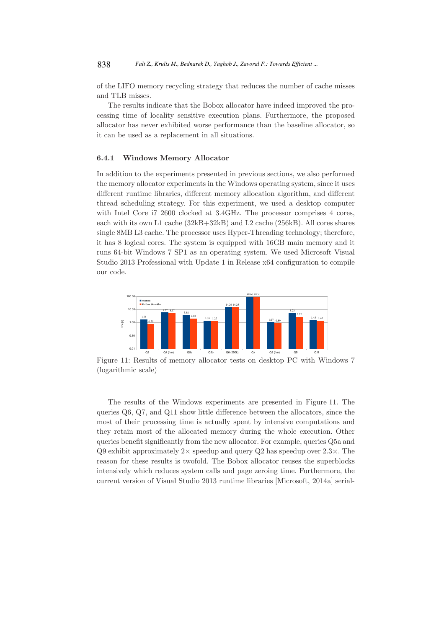of the LIFO memory recycling strategy that reduces the number of cache misses and TLB misses.

The results indicate that the Bobox allocator have indeed improved the processing time of locality sensitive execution plans. Furthermore, the proposed allocator has never exhibited worse performance than the baseline allocator, so it can be used as a replacement in all situations.

#### 6.4.1 Windows Memory Allocator

In addition to the experiments presented in previous sections, we also performed the memory allocator experiments in the Windows operating system, since it uses different runtime libraries, different memory allocation algorithm, and different thread scheduling strategy. For this experiment, we used a desktop computer with Intel Core i7 2600 clocked at 3.4GHz. The processor comprises 4 cores, each with its own L1 cache (32kB+32kB) and L2 cache (256kB). All cores shares single 8MB L3 cache. The processor uses Hyper-Threading technology; therefore, it has 8 logical cores. The system is equipped with 16GB main memory and it runs 64-bit Windows 7 SP1 as an operating system. We used Microsoft Visual Studio 2013 Professional with Update 1 in Release x64 configuration to compile our code.



Figure 11: Results of memory allocator tests on desktop PC with Windows 7 (logarithmic scale)

The results of the Windows experiments are presented in Figure 11. The queries Q6, Q7, and Q11 show little difference between the allocators, since the most of their processing time is actually spent by intensive computations and they retain most of the allocated memory during the whole execution. Other queries benefit significantly from the new allocator. For example, queries Q5a and  $Q9$  exhibit approximately  $2\times$  speedup and query  $Q2$  has speedup over  $2.3\times$ . The reason for these results is twofold. The Bobox allocator reuses the superblocks intensively which reduces system calls and page zeroing time. Furthermore, the current version of Visual Studio 2013 runtime libraries [Microsoft, 2014a] serial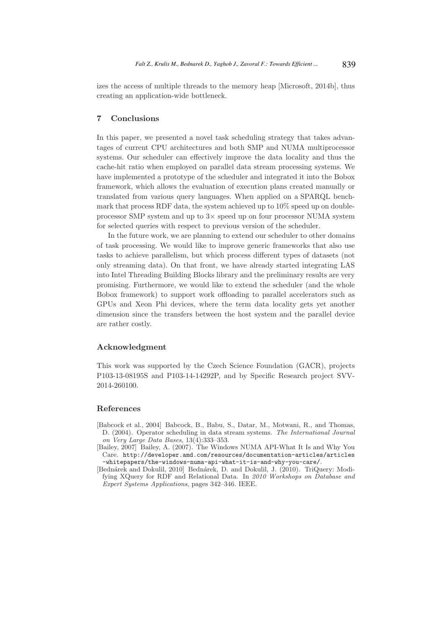izes the access of multiple threads to the memory heap [Microsoft, 2014b], thus creating an application-wide bottleneck.

# 7 Conclusions

In this paper, we presented a novel task scheduling strategy that takes advantages of current CPU architectures and both SMP and NUMA multiprocessor systems. Our scheduler can effectively improve the data locality and thus the cache-hit ratio when employed on parallel data stream processing systems. We have implemented a prototype of the scheduler and integrated it into the Bobox framework, which allows the evaluation of execution plans created manually or translated from various query languages. When applied on a SPARQL benchmark that process RDF data, the system achieved up to 10% speed up on doubleprocessor SMP system and up to 3× speed up on four processor NUMA system for selected queries with respect to previous version of the scheduler.

In the future work, we are planning to extend our scheduler to other domains of task processing. We would like to improve generic frameworks that also use tasks to achieve parallelism, but which process different types of datasets (not only streaming data). On that front, we have already started integrating LAS into Intel Threading Building Blocks library and the preliminary results are very promising. Furthermore, we would like to extend the scheduler (and the whole Bobox framework) to support work offloading to parallel accelerators such as GPUs and Xeon Phi devices, where the term data locality gets yet another dimension since the transfers between the host system and the parallel device are rather costly.

#### Acknowledgment

This work was supported by the Czech Science Foundation (GACR), projects P103-13-08195S and P103-14-14292P, and by Specific Research project SVV-2014-260100.

#### References

- [Babcock et al., 2004] Babcock, B., Babu, S., Datar, M., Motwani, R., and Thomas, D. (2004). Operator scheduling in data stream systems. The International Journal on Very Large Data Bases, 13(4):333–353.
- [Bailey, 2007] Bailey, A. (2007). The Windows NUMA API-What It Is and Why You Care. http://developer.amd.com/resources/documentation-articles/articles -whitepapers/the-windows-numa-api-what-it-is-and-why-you-care/.
- [Bednárek and Dokulil, 2010] Bednárek, D. and Dokulil, J. (2010). TriQuery: Modifying XQuery for RDF and Relational Data. In 2010 Workshops on Database and Expert Systems Applications, pages 342–346. IEEE.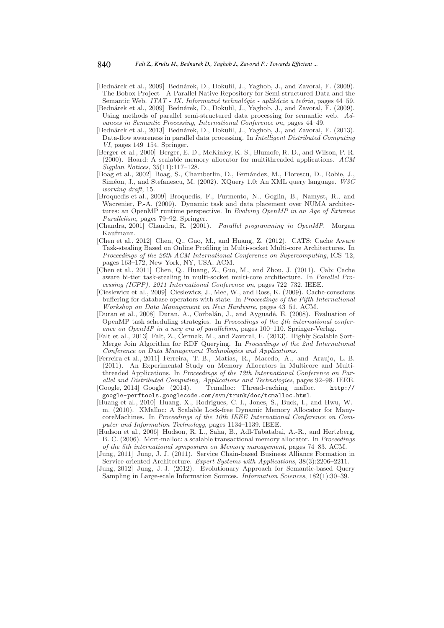- [Bednárek et al., 2009] Bednárek, D., Dokulil, J., Yaghob, J., and Zavoral, F. (2009). The Bobox Project - A Parallel Native Repository for Semi-structured Data and the Semantic Web. ITAT - IX. Informačné technológie - aplikácie a teória, pages 44–59.
- [Bednárek et al., 2009] Bednárek, D., Dokulil, J., Yaghob, J., and Zavoral, F. (2009). Using methods of parallel semi-structured data processing for semantic web. Advances in Semantic Processing, International Conference on, pages 44–49.
- [Bednárek et al., 2013] Bednárek, D., Dokulil, J., Yaghob, J., and Zavoral, F. (2013). Data-flow awareness in parallel data processing. In Intelligent Distributed Computing VI, pages 149–154. Springer.
- [Berger et al., 2000] Berger, E. D., McKinley, K. S., Blumofe, R. D., and Wilson, P. R. (2000). Hoard: A scalable memory allocator for multithreaded applications. ACM Sigplan Notices, 35(11):117–128.
- [Boag et al., 2002] Boag, S., Chamberlin, D., Fernández, M., Florescu, D., Robie, J., Siméon, J., and Stefanescu, M. (2002). XQuery 1.0: An XML query language. W3C working draft, 15.
- [Broquedis et al., 2009] Broquedis, F., Furmento, N., Goglin, B., Namyst, R., and Wacrenier, P.-A. (2009). Dynamic task and data placement over NUMA architectures: an OpenMP runtime perspective. In Evolving OpenMP in an Age of Extreme Parallelism, pages 79–92. Springer.
- [Chandra, 2001] Chandra, R. (2001). Parallel programming in OpenMP. Morgan Kaufmann.
- [Chen et al., 2012] Chen, Q., Guo, M., and Huang, Z. (2012). CATS: Cache Aware Task-stealing Based on Online Profiling in Multi-socket Multi-core Architectures. In Proceedings of the 26th ACM International Conference on Supercomputing, ICS '12, pages 163–172, New York, NY, USA. ACM.
- [Chen et al., 2011] Chen, Q., Huang, Z., Guo, M., and Zhou, J. (2011). Cab: Cache aware bi-tier task-stealing in multi-socket multi-core architecture. In Parallel Processing (ICPP), 2011 International Conference on, pages 722–732. IEEE.
- [Cieslewicz et al., 2009] Cieslewicz, J., Mee, W., and Ross, K. (2009). Cache-conscious buffering for database operators with state. In Proceedings of the Fifth International Workshop on Data Management on New Hardware, pages 43–51. ACM.
- [Duran et al., 2008] Duran, A., Corbalán, J., and Ayguadé, E. (2008). Evaluation of OpenMP task scheduling strategies. In Proceedings of the 4th international conference on OpenMP in a new era of parallelism, pages 100–110. Springer-Verlag.
- [Falt et al., 2013] Falt, Z., Čermak, M., and Zavoral, F. (2013). Highly Scalable Sort-Merge Join Algorithm for RDF Querying. In Proceedings of the 2nd International Conference on Data Management Technologies and Applications.
- [Ferreira et al., 2011] Ferreira, T. B., Matias, R., Macedo, A., and Araujo, L. B. (2011). An Experimental Study on Memory Allocators in Multicore and Multithreaded Applications. In Proceedings of the 12th International Conference on Parallel and Distributed Computing, Applications and Technologies, pages 92–98. IEEE.<br>[Google, 2014] Google (2014). Temalloc: Thread-caching malloc. http://
- Temalloc: Thread-caching malloc. http:// google-perftools.googlecode.com/svn/trunk/doc/tcmalloc.html.
- [Huang et al., 2010] Huang, X., Rodrigues, C. I., Jones, S., Buck, I., and Hwu, W. m. (2010). XMalloc: A Scalable Lock-free Dynamic Memory Allocator for ManycoreMachines. In Proceedings of the 10th IEEE International Conference on Computer and Information Technology, pages 1134–1139. IEEE.
- [Hudson et al., 2006] Hudson, R. L., Saha, B., Adl-Tabatabai, A.-R., and Hertzberg, B. C. (2006). Mcrt-malloc: a scalable transactional memory allocator. In Proceedings of the 5th international symposium on Memory management, pages 74–83. ACM.
- [Jung, 2011] Jung, J. J. (2011). Service Chain-based Business Alliance Formation in Service-oriented Architecture. Expert Systems with Applications, 38(3):2206–2211.
- [Jung, 2012] Jung, J. J. (2012). Evolutionary Approach for Semantic-based Query Sampling in Large-scale Information Sources. Information Sciences, 182(1):30–39.